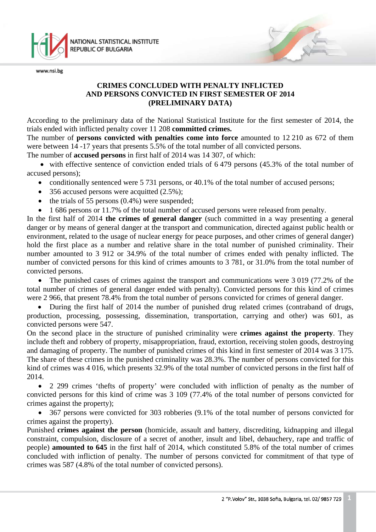

# **CRIMES CONCLUDED WITH PENALTY INFLICTED AND PERSONS CONVICTED IN FIRST SEMESTER OF 2014 (PRELIMINARY DATA)**

According to the preliminary data of the National Statistical Institute for the first semester of 2014, the trials ended with inflicted penalty cover 11 208 **committed crimes.**

The number of **persons convicted with penalties come into force** amounted to 12 210 as 672 of them were between 14 -17 years that presents 5.5% of the total number of all convicted persons.

The number of **accused persons** in first half of 2014 was 14 307, of which:

• with effective sentence of conviction ended trials of 6.479 persons (45.3% of the total number of accused persons);

- conditionally sentenced were 5 731 persons, or 40.1% of the total number of accused persons;
- 356 accused persons were acquitted  $(2.5\%)$ ;
- the trials of 55 persons  $(0.4\%)$  were suspended;
- 1 686 persons or 11.7% of the total number of accused persons were released from penalty.

In the first half of 2014 **the crimes of general danger** (such committed in a way presenting a general danger or by means of general danger at the transport and communication, directed against public health or environment, related to the usage of nuclear energy for peace purposes, and other crimes of general danger) hold the first place as a number and relative share in the total number of punished criminality. Their number amounted to 3 912 or 34.9% of the total number of crimes ended with penalty inflicted. The number of convicted persons for this kind of crimes amounts to 3 781, or 31.0% from the total number of convicted persons.

• The punished cases of crimes against the transport and communications were 3 019 (77.2% of the total number of crimes of general danger ended with penalty). Convicted persons for this kind of crimes were 2 966, that present 78.4% from the total number of persons convicted for crimes of general danger.

• During the first half of 2014 the number of punished drug related crimes (contraband of drugs, production, processing, possessing, dissemination, transportation, carrying and other) was 601, as convicted persons were 547.

On the second place in the structure of punished criminality were **crimes against the property**. They include theft and robbery of property, misappropriation, fraud, extortion, receiving stolen goods, destroying and damaging of property. The number of punished crimes of this kind in first semester of 2014 was 3 175. The share of these crimes in the punished criminality was 28.3%. The number of persons convicted for this kind of crimes was 4 016, which presents 32.9% of the total number of convicted persons in the first half of 2014.

• 2 299 crimes 'thefts of property' were concluded with infliction of penalty as the number of convicted persons for this kind of crime was 3 109 (77.4% of the total number of persons convicted for crimes against the property);

• 367 persons were convicted for 303 robberies (9.1% of the total number of persons convicted for crimes against the property).

Punished **crimes against the person** (homicide, assault and battery, discrediting, kidnapping and illegal constraint, compulsion, disclosure of a secret of another, insult and libel, debauchery, rape and traffic of people) **amounted to 645** in the first half of 2014, which constituted 5.8% of the total number of crimes concluded with infliction of penalty. The number of persons convicted for commitment of that type of crimes was 587 (4.8% of the total number of convicted persons).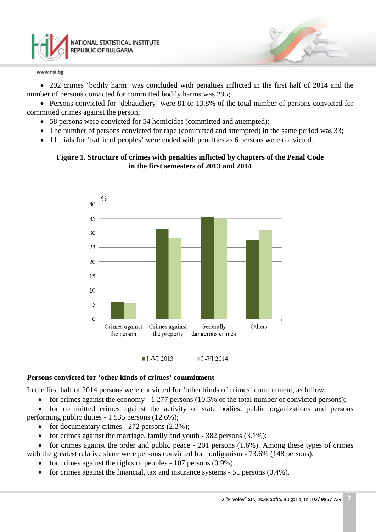

• 292 crimes 'bodily harm' was concluded with penalties inflicted in the first half of 2014 and the number of persons convicted for committed bodily harms was 295;

• Persons convicted for 'debauchery' were 81 or 13.8% of the total number of persons convicted for committed crimes against the person;

- 58 persons were convicted for 54 homicides (committed and attempted);
- The number of persons convicted for rape (committed and attempted) in the same period was 33;
- 11 trials for 'traffic of peoples' were ended with penalties as 6 persons were convicted.

## **Figure 1. Structure of crimes with penalties inflicted by chapters of the Penal Code in the first semesters of 2013 and 2014**





## **Persons convicted for 'other kinds of crimes' commitment**

In the first half of 2014 persons were convicted for 'other kinds of crimes' commitment, as follow:

• for crimes against the economy - 1 277 persons (10.5% of the total number of convicted persons);

• for committed crimes against the activity of state bodies, public organizations and persons performing public duties - 1 535 persons (12.6%);

- for documentary crimes  $-272$  persons  $(2.2\%)$ ;
- for crimes against the marriage, family and youth 382 persons (3.1%);
- for crimes against the order and public peace  $-201$  persons  $(1.6%)$ . Among these types of crimes
- with the greatest relative share were persons convicted for hooliganism 73.6% (148 persons);
	- for crimes against the rights of peoples 107 persons (0.9%);
	- for crimes against the financial, tax and insurance systems 51 persons (0.4%).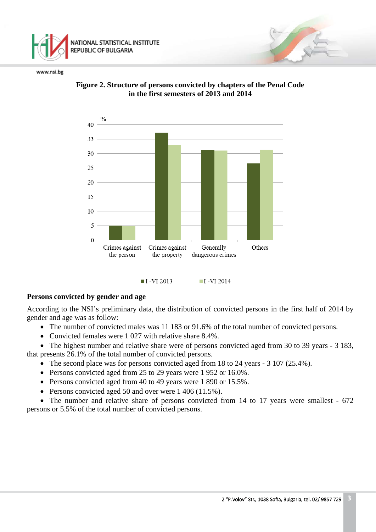





 $\blacksquare$  I -VI 2013  $\blacksquare$  I -VI 2014

## **Persons convicted by gender and age**

According to the NSI's preliminary data, the distribution of convicted persons in the first half of 2014 by gender and age was as follow:

- The number of convicted males was 11 183 or 91.6% of the total number of convicted persons.
- Convicted females were 1 027 with relative share 8.4%.

• The highest number and relative share were of persons convicted aged from 30 to 39 years - 3 183. that presents 26.1% of the total number of convicted persons.

- The second place was for persons convicted aged from 18 to 24 years 3 107 (25.4%).
- Persons convicted aged from 25 to 29 years were 1 952 or 16.0%.
- Persons convicted aged from 40 to 49 years were 1 890 or 15.5%.
- Persons convicted aged 50 and over were 1 406 (11.5%).

• The number and relative share of persons convicted from 14 to 17 years were smallest - 672 persons or 5.5% of the total number of convicted persons.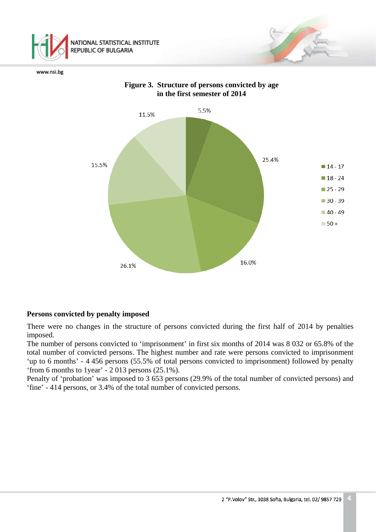





# **Persons convicted by penalty imposed**

There were no changes in the structure of persons convicted during the first half of 2014 by penalties imposed.

The number of persons convicted to 'imprisonment' in first six months of 2014 was 8 032 or 65.8% of the total number of convicted persons. The highest number and rate were persons convicted to imprisonment 'up to 6 months' - 4 456 persons (55.5% of total persons convicted to imprisonment) followed by penalty 'from 6 months to 1year' - 2 013 persons (25.1%).

Penalty of 'probation' was imposed to 3 653 persons (29.9% of the total number of convicted persons) and 'fine' - 414 persons, or 3.4% of the total number of convicted persons.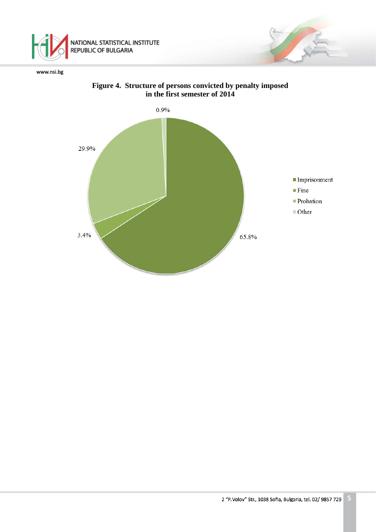



# **Figure 4. Structure of persons convicted by penalty imposed in the first semester of 2014**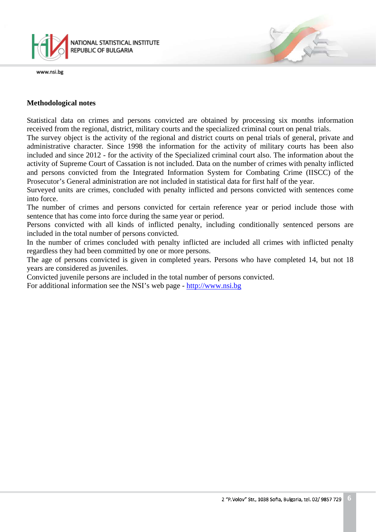

## **Methodological notes**

Statistical data on crimes and persons convicted are obtained by processing six months information received from the regional, district, military courts and the specialized criminal court on penal trials.

The survey object is the activity of the regional and district courts on penal trials of general, private and administrative character. Since 1998 the information for the activity of military courts has been also included and since 2012 - for the activity of the Specialized criminal court also. The information about the activity of Supreme Court of Cassation is not included. Data on the number of crimes with penalty inflicted and persons convicted from the Integrated Information System for Combating Crime (IISCC) of the Prosecutor's General administration are not included in statistical data for first half of the year.

Surveyed units are crimes, concluded with penalty inflicted and persons convicted with sentences come into force.

The number of crimes and persons convicted for certain reference year or period include those with sentence that has come into force during the same year or period.

Persons convicted with all kinds of inflicted penalty, including conditionally sentenced persons are included in the total number of persons convicted.

In the number of crimes concluded with penalty inflicted are included all crimes with inflicted penalty regardless they had been committed by one or more persons.

The age of persons convicted is given in completed years. Persons who have completed 14, but not 18 years are considered as juveniles.

Convicted juvenile persons are included in the total number of persons convicted.

For additional information see the NSI's web page - [http://www.nsi.bg](http://www.nsi.bg/)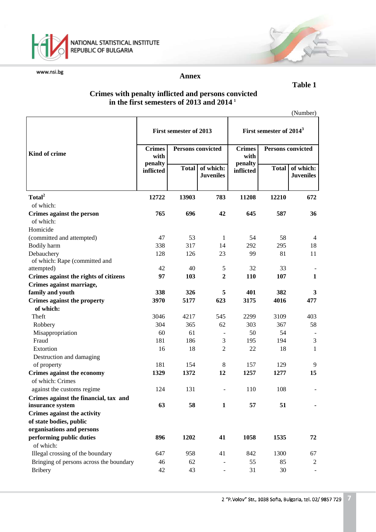

## **Annex**

## **Crimes with penalty inflicted and persons convicted in the first semesters of 2013 and 2014 <sup>1</sup>**

| (Number) |
|----------|
|----------|

|                                                      | First semester of 2013                            |              | First semester of 2014 <sup>3</sup> |                      |                          |                               |
|------------------------------------------------------|---------------------------------------------------|--------------|-------------------------------------|----------------------|--------------------------|-------------------------------|
| Kind of crime                                        | <b>Crimes</b><br><b>Persons convicted</b><br>with |              | <b>Crimes</b><br>with               |                      | <b>Persons convicted</b> |                               |
|                                                      | penalty<br>inflicted                              | <b>Total</b> | of which:<br><b>Juveniles</b>       | penalty<br>inflicted | <b>Total</b>             | of which:<br><b>Juveniles</b> |
| Total <sup>2</sup>                                   | 12722                                             | 13903        | 783                                 | 11208                | 12210                    | 672                           |
| of which:                                            |                                                   |              |                                     |                      |                          |                               |
| Crimes against the person                            | 765                                               | 696          | 42                                  | 645                  | 587                      | 36                            |
| of which:                                            |                                                   |              |                                     |                      |                          |                               |
| Homicide                                             |                                                   |              |                                     |                      |                          |                               |
| (committed and attempted)                            | 47                                                | 53           | 1                                   | 54                   | 58                       | $\overline{4}$                |
| Bodily harm                                          | 338                                               | 317          | 14                                  | 292                  | 295                      | 18                            |
| Debauchery                                           | 128                                               | 126          | 23                                  | 99                   | 81                       | 11                            |
| of which: Rape (committed and                        |                                                   |              |                                     |                      |                          |                               |
| attempted)                                           | 42                                                | 40           | 5                                   | 32                   | 33                       |                               |
| Crimes against the rights of citizens                | 97                                                | 103          | $\overline{2}$                      | 110                  | 107                      | $\mathbf{1}$                  |
| Crimes against marriage,                             |                                                   |              |                                     |                      |                          |                               |
| family and youth                                     | 338                                               | 326          | 5                                   | 401                  | 382                      | 3                             |
| <b>Crimes against the property</b>                   | 3970                                              | 5177         | 623                                 | 3175                 | 4016                     | 477                           |
| of which:                                            |                                                   |              |                                     |                      |                          |                               |
| Theft                                                | 3046                                              | 4217         | 545                                 | 2299                 | 3109                     | 403                           |
| Robbery                                              | 304                                               | 365          | 62                                  | 303                  | 367                      | 58                            |
| Misappropriation                                     | 60                                                | 61           |                                     | 50                   | 54                       |                               |
| Fraud                                                | 181                                               | 186          | 3                                   | 195                  | 194                      | 3                             |
| Extortion                                            | 16                                                | 18           | $\overline{2}$                      | 22                   | 18                       | $\mathbf{1}$                  |
| Destruction and damaging                             |                                                   |              |                                     |                      |                          |                               |
| of property                                          | 181                                               | 154          | 8                                   | 157                  | 129                      | 9                             |
| Crimes against the economy<br>of which: Crimes       | 1329                                              | 1372         | 12                                  | 1257                 | 1277                     | 15                            |
|                                                      |                                                   |              |                                     |                      |                          |                               |
| against the customs regime                           | 124                                               | 131          |                                     | 110                  | 108                      |                               |
| Crimes against the financial, tax and                |                                                   |              | $\mathbf{1}$                        |                      |                          |                               |
| insurance system                                     | 63                                                | 58           |                                     | 57                   | 51                       |                               |
| Crimes against the activity                          |                                                   |              |                                     |                      |                          |                               |
| of state bodies, public<br>organisations and persons |                                                   |              |                                     |                      |                          |                               |
| performing public duties                             | 896                                               | 1202         | 41                                  | 1058                 | 1535                     | 72                            |
| of which:                                            |                                                   |              |                                     |                      |                          |                               |
| Illegal crossing of the boundary                     | 647                                               | 958          | 41                                  | 842                  | 1300                     | 67                            |
| Bringing of persons across the boundary              | 46                                                | 62           |                                     | 55                   | 85                       | 2                             |
| <b>Bribery</b>                                       | 42                                                | 43           | $\overline{\phantom{a}}$            | 31                   | 30                       |                               |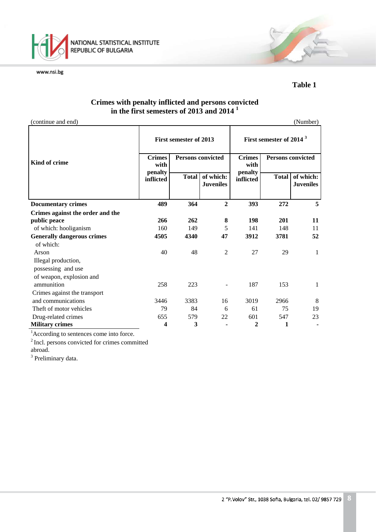

**Table 1** 

# **Crimes with penalty inflicted and persons convicted in the first semesters of 2013 and 2014 <sup>1</sup>**

(continue and end) (Number)

| continue and cha                  |                      |                                                    |                               |                      |                                                                                  | $\cdots$                      |  |
|-----------------------------------|----------------------|----------------------------------------------------|-------------------------------|----------------------|----------------------------------------------------------------------------------|-------------------------------|--|
|                                   | <b>Crimes</b>        | First semester of 2013<br><b>Persons convicted</b> |                               |                      | First semester of 2014 <sup>3</sup><br><b>Crimes</b><br><b>Persons convicted</b> |                               |  |
| Kind of crime                     | with                 |                                                    |                               | with                 |                                                                                  |                               |  |
|                                   | penalty<br>inflicted | <b>Total</b>                                       | of which:<br><b>Juveniles</b> | penalty<br>inflicted | <b>Total</b>                                                                     | of which:<br><b>Juveniles</b> |  |
| <b>Documentary crimes</b>         | 489                  | 364                                                | $\overline{2}$                | 393                  | 272                                                                              | 5                             |  |
| Crimes against the order and the  |                      |                                                    |                               |                      |                                                                                  |                               |  |
| public peace                      | 266                  | 262                                                | 8                             | 198                  | 201                                                                              | 11                            |  |
| of which: hooliganism             | 160                  | 149                                                | 5                             | 141                  | 148                                                                              | 11                            |  |
| <b>Generally dangerous crimes</b> | 4505                 | 4340                                               | 47                            | 3912                 | 3781                                                                             | 52                            |  |
| of which:                         |                      |                                                    |                               |                      |                                                                                  |                               |  |
| Arson                             | 40                   | 48                                                 | $\overline{2}$                | 27                   | 29                                                                               | $\mathbf{1}$                  |  |
| Illegal production,               |                      |                                                    |                               |                      |                                                                                  |                               |  |
| possessing and use                |                      |                                                    |                               |                      |                                                                                  |                               |  |
| of weapon, explosion and          |                      |                                                    |                               |                      |                                                                                  |                               |  |
| ammunition                        | 258                  | 223                                                |                               | 187                  | 153                                                                              | 1                             |  |
| Crimes against the transport      |                      |                                                    |                               |                      |                                                                                  |                               |  |
| and communications                | 3446                 | 3383                                               | 16                            | 3019                 | 2966                                                                             | 8                             |  |
| Theft of motor vehicles           | 79                   | 84                                                 | 6                             | 61                   | 75                                                                               | 19                            |  |
| Drug-related crimes               | 655                  | 579                                                | 22                            | 601                  | 547                                                                              | 23                            |  |
| <b>Military crimes</b>            | 4                    | 3                                                  |                               | $\mathbf 2$          | 1                                                                                |                               |  |

<sup>1</sup>According to sentences come into force.

2 Incl. persons convicted for crimes committed abroad.

<sup>3</sup> Preliminary data.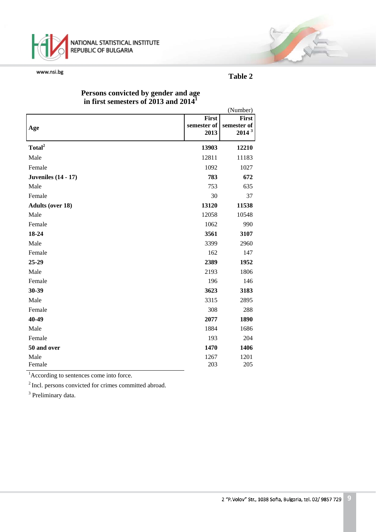

## **Table 2**

T

|                            |                     | (Number)                         |
|----------------------------|---------------------|----------------------------------|
|                            | First               | <b>First</b>                     |
| Age                        | semester of<br>2013 | semester of<br>2014 <sup>3</sup> |
|                            |                     |                                  |
| Total <sup>2</sup>         | 13903               | 12210                            |
| Male                       | 12811               | 11183                            |
| Female                     | 1092                | 1027                             |
| <b>Juveniles</b> (14 - 17) | 783                 | 672                              |
| Male                       | 753                 | 635                              |
| Female                     | 30                  | 37                               |
| <b>Adults (over 18)</b>    | 13120               | 11538                            |
| Male                       | 12058               | 10548                            |
| Female                     | 1062                | 990                              |
| 18-24                      | 3561                | 3107                             |
| Male                       | 3399                | 2960                             |
| Female                     | 162                 | 147                              |
| 25-29                      | 2389                | 1952                             |
| Male                       | 2193                | 1806                             |
| Female                     | 196                 | 146                              |
| 30-39                      | 3623                | 3183                             |
| Male                       | 3315                | 2895                             |
| Female                     | 308                 | 288                              |
| 40-49                      | 2077                | 1890                             |
| Male                       | 1884                | 1686                             |
| Female                     | 193                 | 204                              |
| 50 and over                | 1470                | 1406                             |
| Male                       | 1267                | 1201                             |
| Female                     | 203                 | 205                              |

## **Persons convicted by gender and age in first semesters of 2013 and 2014<sup>1</sup>**

<sup>1</sup>According to sentences come into force.

<sup>2</sup> Incl. persons convicted for crimes committed abroad.

<sup>3</sup> Preliminary data.